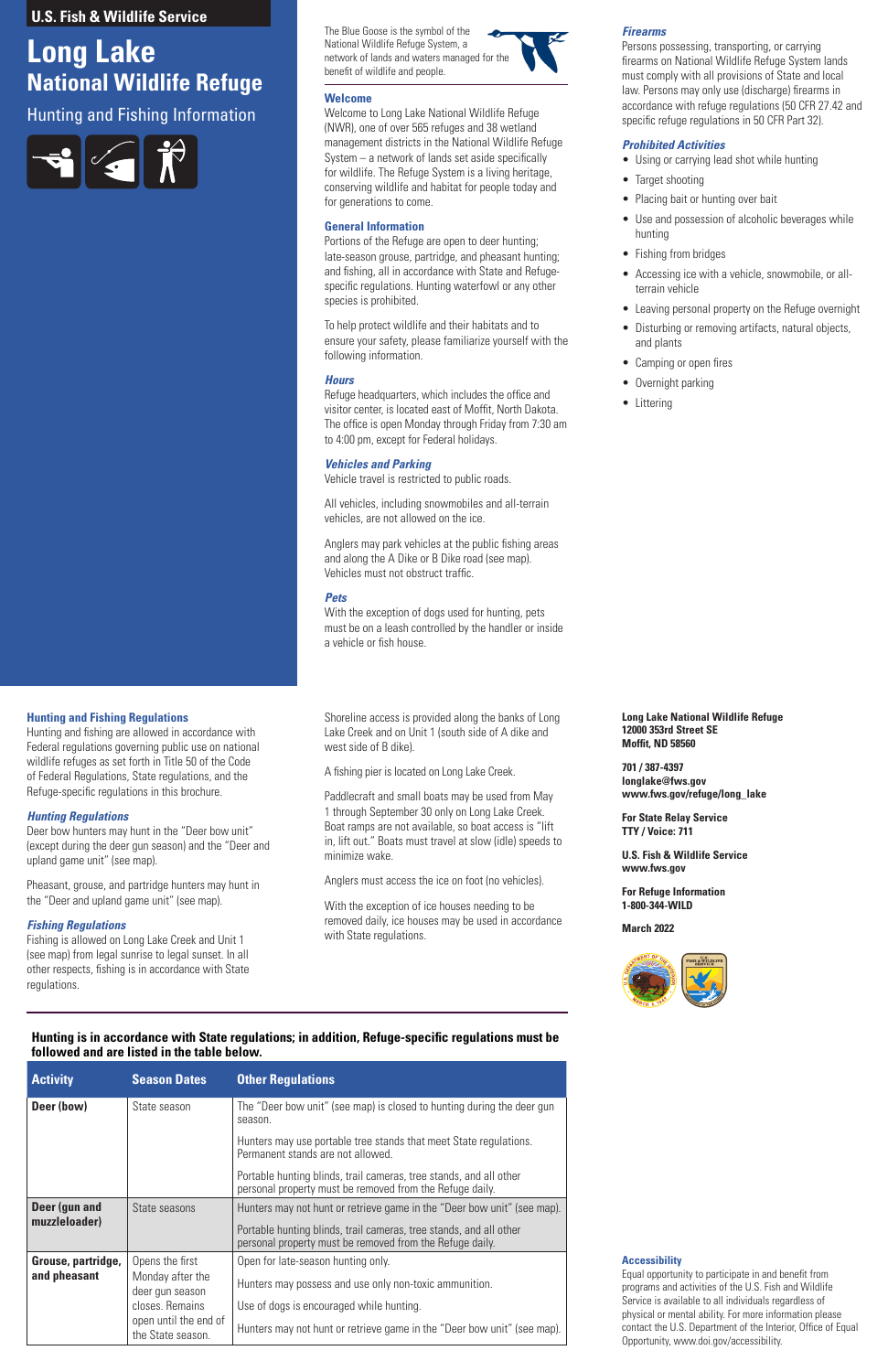## **U.S. Fish & Wildlife Service**

The Blue Goose is the symbol of the National Wildlife Refuge System, a network of lands and waters managed for the benefit of wildlife and people.



#### **Welcome**

Welcome to Long Lake National Wildlife Refuge (NWR), one of over 565 refuges and 38 wetland management districts in the National Wildlife Refuge System – a network of lands set aside specifically for wildlife. The Refuge System is a living heritage, conserving wildlife and habitat for people today and for generations to come.

#### **General Information**

Portions of the Refuge are open to deer hunting; late-season grouse, partridge, and pheasant hunting; and fishing, all in accordance with State and Refugespecific regulations. Hunting waterfowl or any other species is prohibited.

To help protect wildlife and their habitats and to ensure your safety, please familiarize yourself with the following information.

#### *Hours*

Refuge headquarters, which includes the office and visitor center, is located east of Moffit, North Dakota. The office is open Monday through Friday from 7:30 am to 4:00 pm, except for Federal holidays.

#### *Vehicles and Parking*

Vehicle travel is restricted to public roads.

All vehicles, including snowmobiles and all-terrain vehicles, are not allowed on the ice.

Anglers may park vehicles at the public fishing areas and along the A Dike or B Dike road (see map). Vehicles must not obstruct traffic.

### *Pets*

With the exception of dogs used for hunting, pets must be on a leash controlled by the handler or inside a vehicle or fish house.

#### *Firearms*

Persons possessing, transporting, or carrying firearms on National Wildlife Refuge System lands must comply with all provisions of State and local law. Persons may only use (discharge) firearms in accordance with refuge regulations (50 CFR 27.42 and specific refuge regulations in 50 CFR Part 32).

#### *Prohibited Activities*

- Using or carrying lead shot while hunting
- Target shooting
- Placing bait or hunting over bait
- Use and possession of alcoholic beverages while hunting
- Fishing from bridges
- Accessing ice with a vehicle, snowmobile, or allterrain vehicle
- Leaving personal property on the Refuge overnight
- Disturbing or removing artifacts, natural objects, and plants
- Camping or open fires
- Overnight parking
- Littering

# **Long Lake National Wildlife Refuge**

## Hunting and Fishing Information



#### **Accessibility**

Equal opportunity to participate in and benefit from programs and activities of the U.S. Fish and Wildlife Service is available to all individuals regardless of physical or mental ability. For more information please contact the U.S. Department of the Interior, Office of Equal Opportunity, www.doi.gov/accessibility.

**Long Lake National Wildlife Refuge 12000 353rd Street SE Moffit, ND 58560**

**701 / 387-4397 longlake@fws.gov www.fws.gov/refuge/long\_lake**

**For State Relay Service TTY / Voice: 711**

**U.S. Fish & Wildlife Service www.fws.gov**

**For Refuge Information 1-800-344-WILD**

**March 2022**



#### **Hunting and Fishing Regulations**

Hunting and fishing are allowed in accordance with Federal regulations governing public use on national wildlife refuges as set forth in Title 50 of the Code of Federal Regulations, State regulations, and the Refuge-specific regulations in this brochure.

#### *Hunting Regulations*

Deer bow hunters may hunt in the "Deer bow unit" (except during the deer gun season) and the "Deer and upland game unit" (see map).

Pheasant, grouse, and partridge hunters may hunt in the "Deer and upland game unit" (see map).

#### *Fishing Regulations*

Fishing is allowed on Long Lake Creek and Unit 1 (see map) from legal sunrise to legal sunset. In all other respects, fishing is in accordance with State regulations.

Shoreline access is provided along the banks of Long Lake Creek and on Unit 1 (south side of A dike and west side of B dike).

A fishing pier is located on Long Lake Creek.

Paddlecraft and small boats may be used from May 1 through September 30 only on Long Lake Creek. Boat ramps are not available, so boat access is "lift in, lift out." Boats must travel at slow (idle) speeds to minimize wake.

Anglers must access the ice on foot (no vehicles).

With the exception of ice houses needing to be removed daily, ice houses may be used in accordance with State regulations.

**Hunting is in accordance with State regulations; in addition, Refuge-specific regulations must be followed and are listed in the table below.**

| <b>Activity</b>    | <b>Season Dates</b>                        | <b>Other Regulations</b>                                                                                                       |
|--------------------|--------------------------------------------|--------------------------------------------------------------------------------------------------------------------------------|
| Deer (bow)         | State season                               | The "Deer bow unit" (see map) is closed to hunting during the deer gun<br>season.                                              |
|                    |                                            | Hunters may use portable tree stands that meet State regulations.<br>Permanent stands are not allowed.                         |
|                    |                                            | Portable hunting blinds, trail cameras, tree stands, and all other<br>personal property must be removed from the Refuge daily. |
| Deer (gun and      | State seasons                              | Hunters may not hunt or retrieve game in the "Deer bow unit" (see map).                                                        |
| muzzleloader)      |                                            | Portable hunting blinds, trail cameras, tree stands, and all other<br>personal property must be removed from the Refuge daily. |
| Grouse, partridge, | Opens the first                            | Open for late-season hunting only.                                                                                             |
| and pheasant       | Monday after the<br>deer gun season        | Hunters may possess and use only non-toxic ammunition.                                                                         |
|                    | closes. Remains                            | Use of dogs is encouraged while hunting.                                                                                       |
|                    | open until the end of<br>the State season. | Hunters may not hunt or retrieve game in the "Deer bow unit" (see map).                                                        |